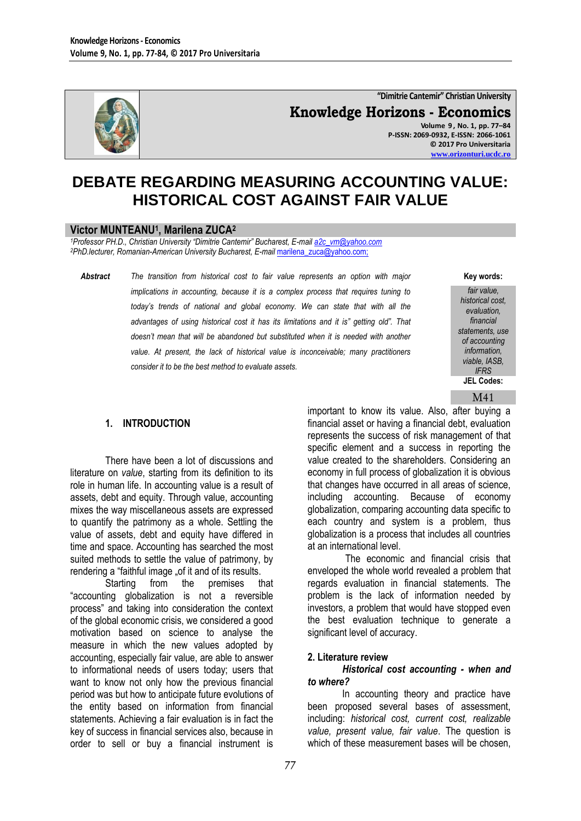

**"Dimitrie Cantemir" Christian University Knowledge Horizons - Economics Volume 9 , No. 1, pp. 77–84 P-ISSN: 2069-0932, E-ISSN: 2066-1061 © 2017 Pro Universitaria [www.orizonturi.ucdc.ro](http://www.orizonturi.ucdc.ro/)**

# **DEBATE REGARDING MEASURING ACCOUNTING VALUE: HISTORICAL COST AGAINST FAIR VALUE**

#### **Victor MUNTEANU<sup>1</sup> , Marilena ZUCA<sup>2</sup>**

*<sup>1</sup>Professor PH.D., Christian University "Dimitrie Cantemir" Bucharest, E-mai[l a2c\\_vm@yahoo.com](mailto:a2c_vm@yahoo.com)* <sup>2</sup>PhD.lecturer, Romanian-American University Bucharest, E-mail [marilena\\_zuca@yahoo.com;](mailto:marilena_zuca@yahoo.com)

*Abstract The transition from historical cost to fair value represents an option with major implications in accounting, because it is a complex process that requires tuning to today's trends of national and global economy. We can state that with all the advantages of using historical cost it has its limitations and it is" getting old". That doesn't mean that will be abandoned but substituted when it is needed with another value. At present, the lack of historical value is inconceivable; many practitioners consider it to be the best method to evaluate assets.*

**Key words:**

*fair value, historical cost, evaluation, financial statements, use of accounting information, viable, IASB, IFRS* **JEL Codes:**

#### M41

#### **1. INTRODUCTION**

There have been a lot of discussions and literature on *value*, starting from its definition to its role in human life. In accounting value is a result of assets, debt and equity. Through value, accounting mixes the way miscellaneous assets are expressed to quantify the patrimony as a whole. Settling the value of assets, debt and equity have differed in time and space. Accounting has searched the most suited methods to settle the value of patrimony, by rendering a "faithful image .of it and of its results.

Starting from the premises that "accounting globalization is not a reversible process" and taking into consideration the context of the global economic crisis, we considered a good motivation based on science to analyse the measure in which the new values adopted by accounting, especially fair value, are able to answer to informational needs of users today; users that want to know not only how the previous financial period was but how to anticipate future evolutions of the entity based on information from financial statements. Achieving a fair evaluation is in fact the key of success in financial services also, because in order to sell or buy a financial instrument is

important to know its value. Also, after buying a financial asset or having a financial debt, evaluation represents the success of risk management of that specific element and a success in reporting the value created to the shareholders. Considering an economy in full process of globalization it is obvious that changes have occurred in all areas of science, including accounting. Because of economy globalization, comparing accounting data specific to each country and system is a problem, thus globalization is a process that includes all countries at an international level.

The economic and financial crisis that enveloped the whole world revealed a problem that regards evaluation in financial statements. The problem is the lack of information needed by investors, a problem that would have stopped even the best evaluation technique to generate a significant level of accuracy.

#### **2. Literature review**

#### *Historical cost accounting - when and to where?*

In accounting theory and practice have been proposed several bases of assessment, including: *historical cost, current cost, realizable value, present value, fair value*. The question is which of these measurement bases will be chosen,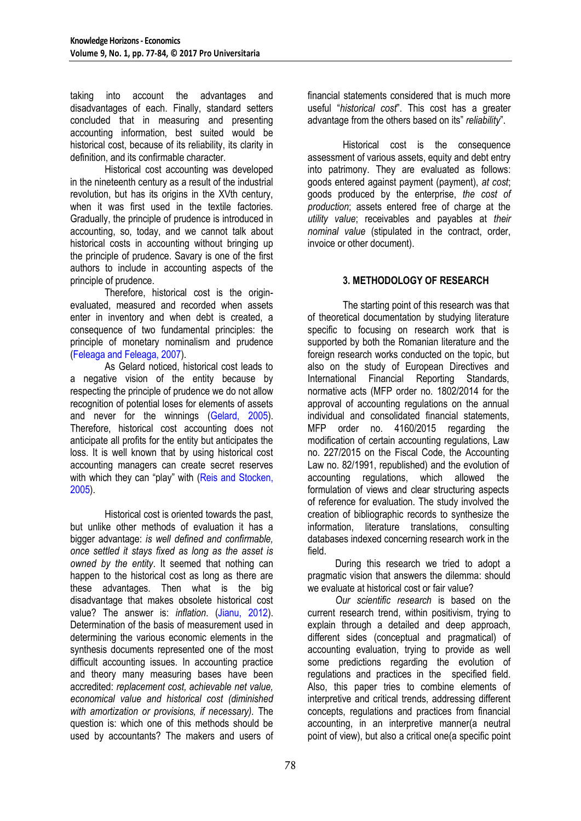taking into account the advantages and disadvantages of each. Finally, standard setters concluded that in measuring and presenting accounting information, best suited would be historical cost, because of its reliability, its clarity in definition, and its confirmable character.

Historical cost accounting was developed in the nineteenth century as a result of the industrial revolution, but has its origins in the XVth century, when it was first used in the textile factories. Gradually, the principle of prudence is introduced in accounting, so, today, and we cannot talk about historical costs in accounting without bringing up the principle of prudence. Savary is one of the first authors to include in accounting aspects of the principle of prudence.

Therefore, historical cost is the originevaluated, measured and recorded when assets enter in inventory and when debt is created, a consequence of two fundamental principles: the principle of monetary nominalism and prudence (Feleaga and Feleaga, 2007).

As Gelard noticed, historical cost leads to a negative vision of the entity because by respecting the principle of prudence we do not allow recognition of potential loses for elements of assets and never for the winnings (Gelard, 2005). Therefore, historical cost accounting does not anticipate all profits for the entity but anticipates the loss. It is well known that by using historical cost accounting managers can create secret reserves with which they can "play" with (Reis and Stocken, 2005).

Historical cost is oriented towards the past, but unlike other methods of evaluation it has a bigger advantage: *is well defined and confirmable, once settled it stays fixed as long as the asset is owned by the entity*. It seemed that nothing can happen to the historical cost as long as there are these advantages. Then what is the big disadvantage that makes obsolete historical cost value? The answer is: *inflation*. (Jianu, 2012). Determination of the basis of measurement used in determining the various economic elements in the synthesis documents represented one of the most difficult accounting issues. In accounting practice and theory many measuring bases have been accredited: *replacement cost, achievable net value, economical value and historical cost (diminished with amortization or provisions, if necessary).* The question is: which one of this methods should be used by accountants? The makers and users of financial statements considered that is much more useful "*historical cost*". This cost has a greater advantage from the others based on its" *reliability*".

Historical cost is the consequence assessment of various assets, equity and debt entry into patrimony. They are evaluated as follows: goods entered against payment (payment), *at cost*; goods produced by the enterprise, *the cost of production*; assets entered free of charge at the *utility value*; receivables and payables at *their nominal value* (stipulated in the contract, order, invoice or other document).

# **3. METHODOLOGY OF RESEARCH**

The starting point of this research was that of theoretical documentation by studying literature specific to focusing on research work that is supported by both the Romanian literature and the foreign research works conducted on the topic, but also on the study of European Directives and International Financial Reporting Standards, normative acts (MFP order no. 1802/2014 for the approval of accounting regulations on the annual individual and consolidated financial statements, MFP order no. 4160/2015 regarding the modification of certain accounting regulations, Law no. 227/2015 on the Fiscal Code, the Accounting Law no. 82/1991, republished) and the evolution of accounting regulations, which allowed the formulation of views and clear structuring aspects of reference for evaluation. The study involved the creation of bibliographic records to synthesize the information, literature translations, consulting databases indexed concerning research work in the field.

During this research we tried to adopt a pragmatic vision that answers the dilemma: should we evaluate at historical cost or fair value?

*Our scientific research* is based on the current research trend, within positivism, trying to explain through a detailed and deep approach, different sides (conceptual and pragmatical) of accounting evaluation, trying to provide as well some predictions regarding the evolution of regulations and practices in the specified field. Also, this paper tries to combine elements of interpretive and critical trends, addressing different concepts, regulations and practices from financial accounting, in an interpretive manner(a neutral point of view), but also a critical one(a specific point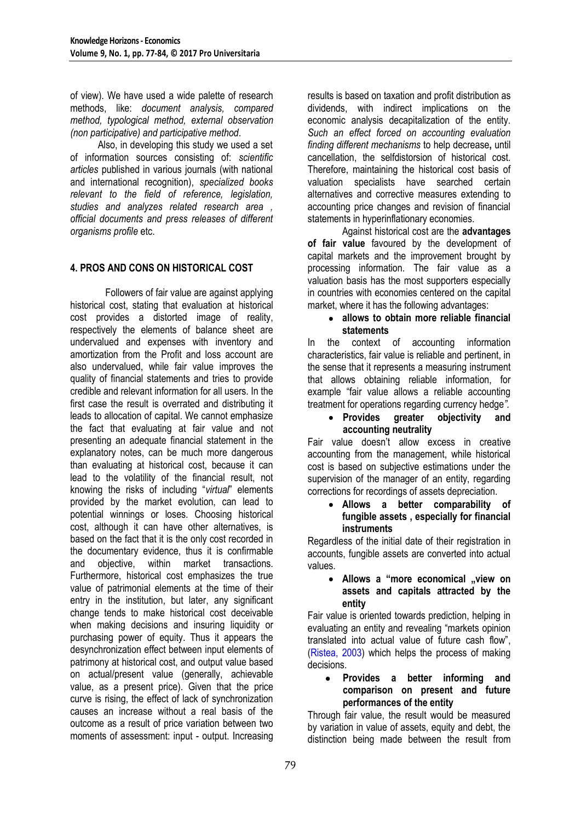of view). We have used a wide palette of research methods, like: *document analysis, compared method, typological method, external observation (non participative) and participative method*.

Also, in developing this study we used a set of information sources consisting of: *scientific articles* published in various journals (with national and international recognition), *specialized books relevant to the field of reference, legislation, studies and analyzes related research area , official documents and press releases of different organisms profile* etc.

# **4. PROS AND CONS ON HISTORICAL COST**

Followers of fair value are against applying historical cost, stating that evaluation at historical cost provides a distorted image of reality, respectively the elements of balance sheet are undervalued and expenses with inventory and amortization from the Profit and loss account are also undervalued, while fair value improves the quality of financial statements and tries to provide credible and relevant information for all users. In the first case the result is overrated and distributing it leads to allocation of capital. We cannot emphasize the fact that evaluating at fair value and not presenting an adequate financial statement in the explanatory notes, can be much more dangerous than evaluating at historical cost, because it can lead to the volatility of the financial result, not knowing the risks of including "*virtual*" elements provided by the market evolution, can lead to potential winnings or loses. Choosing historical cost, although it can have other alternatives, is based on the fact that it is the only cost recorded in the documentary evidence, thus it is confirmable and objective, within market transactions. Furthermore, historical cost emphasizes the true value of patrimonial elements at the time of their entry in the institution, but later, any significant change tends to make historical cost deceivable when making decisions and insuring liquidity or purchasing power of equity. Thus it appears the desynchronization effect between input elements of patrimony at historical cost, and output value based on actual/present value (generally, achievable value, as a present price). Given that the price curve is rising, the effect of lack of synchronization causes an increase without a real basis of the outcome as a result of price variation between two moments of assessment: input - output. Increasing

results is based on taxation and profit distribution as dividends, with indirect implications on the economic analysis decapitalization of the entity. *Such an effect forced on accounting evaluation finding different mechanisms* to help decrease**,** until cancellation, the selfdistorsion of historical cost. Therefore, maintaining the historical cost basis of valuation specialists have searched certain alternatives and corrective measures extending to accounting price changes and revision of financial statements in hyperinflationary economies.

Against historical cost are the **advantages of fair value** favoured by the development of capital markets and the improvement brought by processing information. The fair value as a valuation basis has the most supporters especially in countries with economies centered on the capital market, where it has the following advantages:

### **allows to obtain more reliable financial statements**

In the context of accounting information characteristics, fair value is reliable and pertinent, in the sense that it represents a measuring instrument that allows obtaining reliable information, for example "fair value allows a reliable accounting treatment for operations regarding currency hedge*".*

# **Provides greater objectivity and accounting neutrality**

Fair value doesn't allow excess in creative accounting from the management, while historical cost is based on subjective estimations under the supervision of the manager of an entity, regarding corrections for recordings of assets depreciation.

### **Allows a better comparability of fungible assets , especially for financial instruments**

Regardless of the initial date of their registration in accounts, fungible assets are converted into actual values.

### • Allows a "more economical "view on **assets and capitals attracted by the entity**

Fair value is oriented towards prediction, helping in evaluating an entity and revealing "markets opinion translated into actual value of future cash flow", (Ristea, 2003) which helps the process of making decisions.

#### **Provides a better informing and comparison on present and future performances of the entity**

Through fair value, the result would be measured by variation in value of assets, equity and debt, the distinction being made between the result from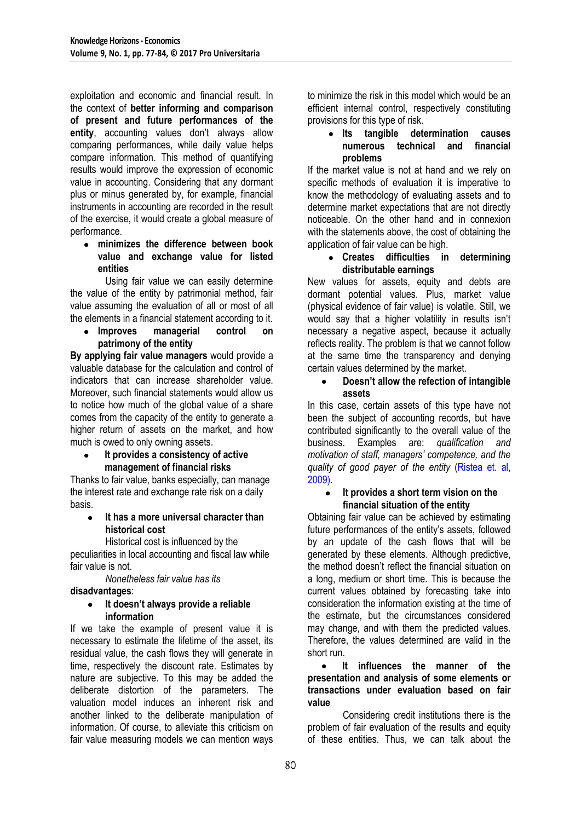exploitation and economic and financial result. In the context of **better informing and comparison of present and future performances of the entity**, accounting values don't always allow comparing performances, while daily value helps compare information. This method of quantifying results would improve the expression of economic value in accounting. Considering that any dormant plus or minus generated by, for example, financial instruments in accounting are recorded in the result of the exercise, it would create a global measure of performance.

**minimizes the difference between book value and exchange value for listed entities** 

Using fair value we can easily determine the value of the entity by patrimonial method, fair value assuming the evaluation of all or most of all the elements in a financial statement according to it.

#### **Improves managerial control on patrimony of the entity**

**By applying fair value managers** would provide a valuable database for the calculation and control of indicators that can increase shareholder value. Moreover, such financial statements would allow us to notice how much of the global value of a share comes from the capacity of the entity to generate a higher return of assets on the market, and how much is owed to only owning assets.

#### **It provides a consistency of active management of financial risks**

Thanks to fair value, banks especially, can manage the interest rate and exchange rate risk on a daily basis.

# **It has a more universal character than historical cost**

Historical cost is influenced by the peculiarities in local accounting and fiscal law while fair value is not.

*Nonetheless fair value has its* 

# **disadvantages**:

#### **It doesn't always provide a reliable**   $\bullet$ **information**

If we take the example of present value it is necessary to estimate the lifetime of the asset, its residual value, the cash flows they will generate in time, respectively the discount rate. Estimates by nature are subjective. To this may be added the deliberate distortion of the parameters. The valuation model induces an inherent risk and another linked to the deliberate manipulation of information. Of course, to alleviate this criticism on fair value measuring models we can mention ways to minimize the risk in this model which would be an efficient internal control, respectively constituting provisions for this type of risk.

#### **Its tangible determination causes numerous technical and financial problems**

If the market value is not at hand and we rely on specific methods of evaluation it is imperative to know the methodology of evaluating assets and to determine market expectations that are not directly noticeable. On the other hand and in connexion with the statements above, the cost of obtaining the application of fair value can be high.

### **Creates difficulties in determining distributable earnings**

New values for assets, equity and debts are dormant potential values. Plus, market value (physical evidence of fair value) is volatile. Still, we would say that a higher volatility in results isn't necessary a negative aspect, because it actually reflects reality. The problem is that we cannot follow at the same time the transparency and denying certain values determined by the market.

# **Doesn't allow the refection of intangible assets**

In this case, certain assets of this type have not been the subject of accounting records, but have contributed significantly to the overall value of the business. Examples are: *qualification and motivation of staff, managers' competence, and the quality of good payer of the entity* (Ristea et. al, 2009).

#### **It provides a short term vision on the financial situation of the entity**

Obtaining fair value can be achieved by estimating future performances of the entity's assets, followed by an update of the cash flows that will be generated by these elements. Although predictive, the method doesn't reflect the financial situation on a long, medium or short time. This is because the current values obtained by forecasting take into consideration the information existing at the time of the estimate, but the circumstances considered may change, and with them the predicted values. Therefore, the values determined are valid in the short run.

#### $\bullet$ **It influences the manner of the presentation and analysis of some elements or transactions under evaluation based on fair value**

Considering credit institutions there is the problem of fair evaluation of the results and equity of these entities. Thus, we can talk about the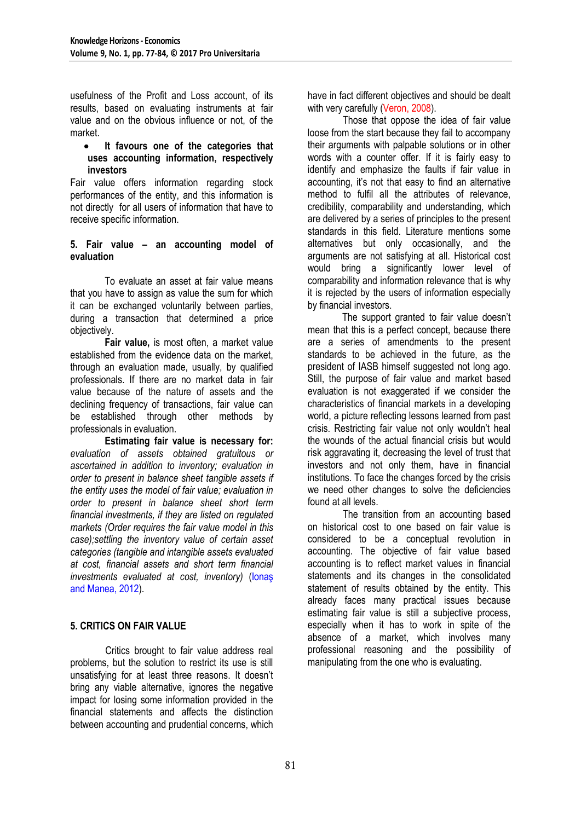usefulness of the Profit and Loss account, of its results, based on evaluating instruments at fair value and on the obvious influence or not, of the market.

#### **It favours one of the categories that uses accounting information, respectively investors**

Fair value offers information regarding stock performances of the entity, and this information is not directly for all users of information that have to receive specific information.

#### **5. Fair value – an accounting model of evaluation**

To evaluate an asset at fair value means that you have to assign as value the sum for which it can be exchanged voluntarily between parties, during a transaction that determined a price objectively.

**Fair value,** is most often, a market value established from the evidence data on the market, through an evaluation made, usually, by qualified professionals. If there are no market data in fair value because of the nature of assets and the declining frequency of transactions, fair value can be established through other methods by professionals in evaluation.

**Estimating fair value is necessary for:**  *evaluation of assets obtained gratuitous or ascertained in addition to inventory; evaluation in order to present in balance sheet tangible assets if the entity uses the model of fair value; evaluation in order to present in balance sheet short term financial investments, if they are listed on regulated markets (Order requires the fair value model in this case);settling the inventory value of certain asset categories (tangible and intangible assets evaluated at cost, financial assets and short term financial investments evaluated at cost, inventory)* (Ionaş and Manea, 2012).

# **5. CRITICS ON FAIR VALUE**

Critics brought to fair value address real problems, but the solution to restrict its use is still unsatisfying for at least three reasons. It doesn't bring any viable alternative, ignores the negative impact for losing some information provided in the financial statements and affects the distinction between accounting and prudential concerns, which

have in fact different objectives and should be dealt with very carefully (Veron, 2008).

Those that oppose the idea of fair value loose from the start because they fail to accompany their arguments with palpable solutions or in other words with a counter offer. If it is fairly easy to identify and emphasize the faults if fair value in accounting, it's not that easy to find an alternative method to fulfil all the attributes of relevance, credibility, comparability and understanding, which are delivered by a series of principles to the present standards in this field. Literature mentions some alternatives but only occasionally, and the arguments are not satisfying at all. Historical cost would bring a significantly lower level of comparability and information relevance that is why it is rejected by the users of information especially by financial investors.

The support granted to fair value doesn't mean that this is a perfect concept, because there are a series of amendments to the present standards to be achieved in the future, as the president of IASB himself suggested not long ago. Still, the purpose of fair value and market based evaluation is not exaggerated if we consider the characteristics of financial markets in a developing world, a picture reflecting lessons learned from past crisis. Restricting fair value not only wouldn't heal the wounds of the actual financial crisis but would risk aggravating it, decreasing the level of trust that investors and not only them, have in financial institutions. To face the changes forced by the crisis we need other changes to solve the deficiencies found at all levels.

The transition from an accounting based on historical cost to one based on fair value is considered to be a conceptual revolution in accounting. The objective of fair value based accounting is to reflect market values in financial statements and its changes in the consolidated statement of results obtained by the entity. This already faces many practical issues because estimating fair value is still a subjective process, especially when it has to work in spite of the absence of a market, which involves many professional reasoning and the possibility of manipulating from the one who is evaluating.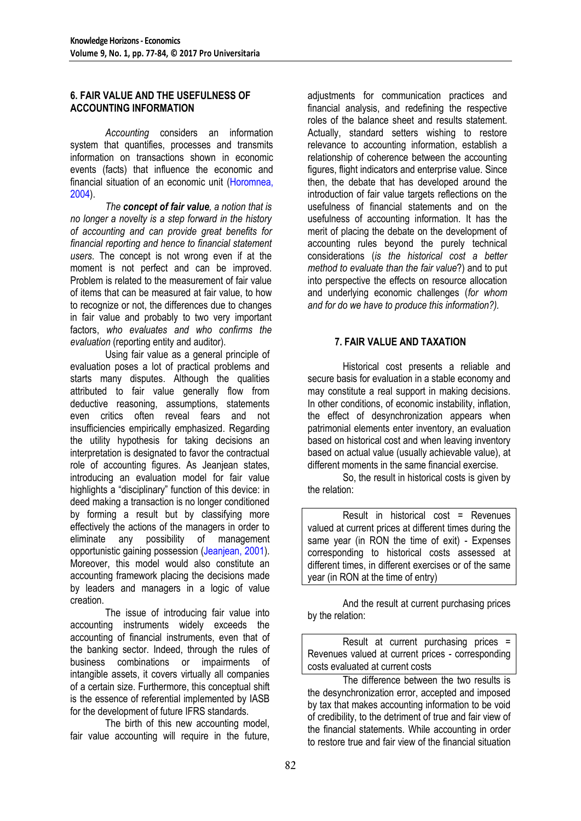# **6. FAIR VALUE AND THE USEFULNESS OF ACCOUNTING INFORMATION**

*Accounting* considers an information system that quantifies, processes and transmits information on transactions shown in economic events (facts) that influence the economic and financial situation of an economic unit (Horomnea, 2004).

*The concept of fair value, a notion that is no longer a novelty is a step forward in the history of accounting and can provide great benefits for financial reporting and hence to financial statement users*. The concept is not wrong even if at the moment is not perfect and can be improved. Problem is related to the measurement of fair value of items that can be measured at fair value, to how to recognize or not, the differences due to changes in fair value and probably to two very important factors, *who evaluates and who confirms the evaluation* (reporting entity and auditor).

Using fair value as a general principle of evaluation poses a lot of practical problems and starts many disputes. Although the qualities attributed to fair value generally flow from deductive reasoning, assumptions, statements even critics often reveal fears and not insufficiencies empirically emphasized. Regarding the utility hypothesis for taking decisions an interpretation is designated to favor the contractual role of accounting figures. As Jeanjean states, introducing an evaluation model for fair value highlights a "disciplinary" function of this device: in deed making a transaction is no longer conditioned by forming a result but by classifying more effectively the actions of the managers in order to eliminate any possibility of management opportunistic gaining possession (Jeanjean, 2001). Moreover, this model would also constitute an accounting framework placing the decisions made by leaders and managers in a logic of value creation.

The issue of introducing fair value into accounting instruments widely exceeds the accounting of financial instruments, even that of the banking sector. Indeed, through the rules of business combinations or impairments of intangible assets, it covers virtually all companies of a certain size. Furthermore, this conceptual shift is the essence of referential implemented by IASB for the development of future IFRS standards.

The birth of this new accounting model, fair value accounting will require in the future, adjustments for communication practices and financial analysis, and redefining the respective roles of the balance sheet and results statement. Actually, standard setters wishing to restore relevance to accounting information, establish a relationship of coherence between the accounting figures, flight indicators and enterprise value. Since then, the debate that has developed around the introduction of fair value targets reflections on the usefulness of financial statements and on the usefulness of accounting information. It has the merit of placing the debate on the development of accounting rules beyond the purely technical considerations (*is the historical cost a better method to evaluate than the fair value*?) and to put into perspective the effects on resource allocation and underlying economic challenges (*for whom and for do we have to produce this information?).*

# **7. FAIR VALUE AND TAXATION**

Historical cost presents a reliable and secure basis for evaluation in a stable economy and may constitute a real support in making decisions. In other conditions, of economic instability, inflation, the effect of desynchronization appears when patrimonial elements enter inventory, an evaluation based on historical cost and when leaving inventory based on actual value (usually achievable value), at different moments in the same financial exercise.

So, the result in historical costs is given by the relation:

Result in historical cost = Revenues valued at current prices at different times during the same year (in RON the time of exit) - Expenses corresponding to historical costs assessed at different times, in different exercises or of the same year (in RON at the time of entry)

And the result at current purchasing prices by the relation:

Result at current purchasing prices = Revenues valued at current prices - corresponding costs evaluated at current costs

The difference between the two results is the desynchronization error, accepted and imposed by tax that makes accounting information to be void of credibility, to the detriment of true and fair view of the financial statements. While accounting in order to restore true and fair view of the financial situation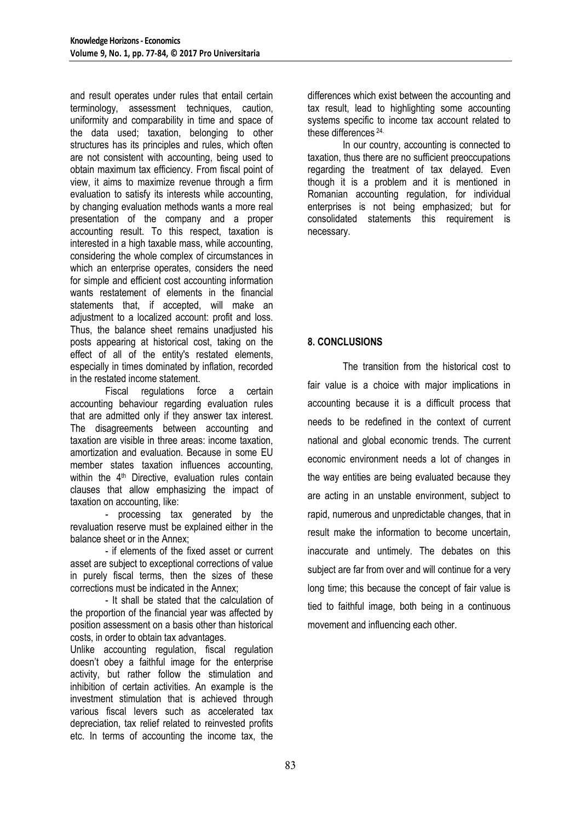and result operates under rules that entail certain terminology, assessment techniques, caution, uniformity and comparability in time and space of the data used; taxation, belonging to other structures has its principles and rules, which often are not consistent with accounting, being used to obtain maximum tax efficiency. From fiscal point of view, it aims to maximize revenue through a firm evaluation to satisfy its interests while accounting, by changing evaluation methods wants a more real presentation of the company and a proper accounting result. To this respect, taxation is interested in a high taxable mass, while accounting, considering the whole complex of circumstances in which an enterprise operates, considers the need for simple and efficient cost accounting information wants restatement of elements in the financial statements that, if accepted, will make an adjustment to a localized account: profit and loss. Thus, the balance sheet remains unadjusted his posts appearing at historical cost, taking on the effect of all of the entity's restated elements, especially in times dominated by inflation, recorded in the restated income statement.

Fiscal regulations force a certain accounting behaviour regarding evaluation rules that are admitted only if they answer tax interest. The disagreements between accounting and taxation are visible in three areas: income taxation, amortization and evaluation. Because in some EU member states taxation influences accounting, within the 4<sup>th</sup> Directive, evaluation rules contain clauses that allow emphasizing the impact of taxation on accounting, like:

- processing tax generated by the revaluation reserve must be explained either in the balance sheet or in the Annex;

- if elements of the fixed asset or current asset are subject to exceptional corrections of value in purely fiscal terms, then the sizes of these corrections must be indicated in the Annex;

- It shall be stated that the calculation of the proportion of the financial year was affected by position assessment on a basis other than historical costs, in order to obtain tax advantages.

Unlike accounting regulation, fiscal regulation doesn't obey a faithful image for the enterprise activity, but rather follow the stimulation and inhibition of certain activities. An example is the investment stimulation that is achieved through various fiscal levers such as accelerated tax depreciation, tax relief related to reinvested profits etc. In terms of accounting the income tax, the

differences which exist between the accounting and tax result, lead to highlighting some accounting systems specific to income tax account related to these differences 24.

In our country, accounting is connected to taxation, thus there are no sufficient preoccupations regarding the treatment of tax delayed. Even though it is a problem and it is mentioned in Romanian accounting regulation, for individual enterprises is not being emphasized; but for consolidated statements this requirement is necessary.

# **8. CONCLUSIONS**

The transition from the historical cost to fair value is a choice with major implications in accounting because it is a difficult process that needs to be redefined in the context of current national and global economic trends. The current economic environment needs a lot of changes in the way entities are being evaluated because they are acting in an unstable environment, subject to rapid, numerous and unpredictable changes, that in result make the information to become uncertain, inaccurate and untimely. The debates on this subject are far from over and will continue for a very long time; this because the concept of fair value is tied to faithful image, both being in a continuous movement and influencing each other.